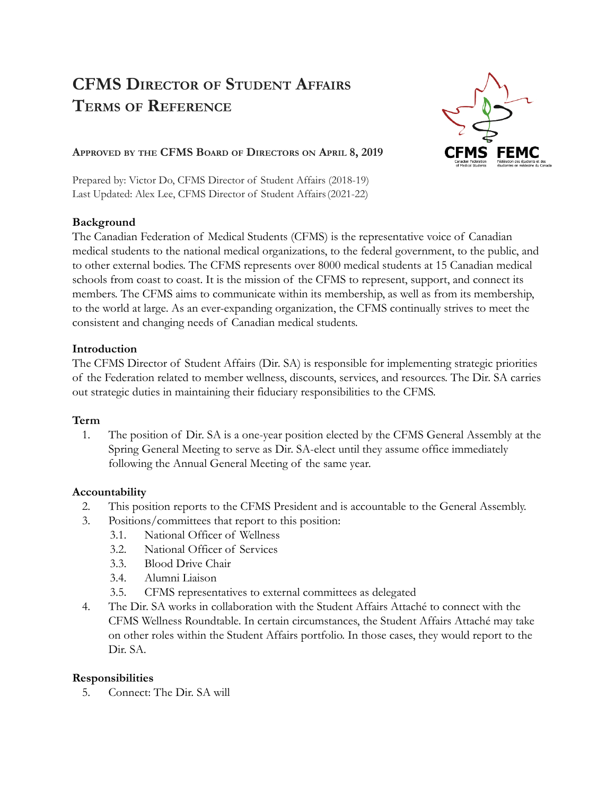# **CFMS DIRECTOR OF STUDENT AFFAIRS TERMS OF REFERENCE**



## **APPROVED BY THE CFMS BOARD OF DIRECTORS ON APRIL 8, 2019**

Prepared by: Victor Do, CFMS Director of Student Affairs (2018-19) Last Updated: Alex Lee, CFMS Director of Student Affairs(2021-22)

### **Background**

The Canadian Federation of Medical Students (CFMS) is the representative voice of Canadian medical students to the national medical organizations, to the federal government, to the public, and to other external bodies. The CFMS represents over 8000 medical students at 15 Canadian medical schools from coast to coast. It is the mission of the CFMS to represent, support, and connect its members. The CFMS aims to communicate within its membership, as well as from its membership, to the world at large. As an ever-expanding organization, the CFMS continually strives to meet the consistent and changing needs of Canadian medical students.

### **Introduction**

The CFMS Director of Student Affairs (Dir. SA) is responsible for implementing strategic priorities of the Federation related to member wellness, discounts, services, and resources. The Dir. SA carries out strategic duties in maintaining their fiduciary responsibilities to the CFMS.

### **Term**

1. The position of Dir. SA is a one-year position elected by the CFMS General Assembly at the Spring General Meeting to serve as Dir. SA-elect until they assume office immediately following the Annual General Meeting of the same year.

### **Accountability**

- 2. This position reports to the CFMS President and is accountable to the General Assembly.
- 3. Positions/committees that report to this position:
	- 3.1. National Officer of Wellness
	- 3.2. National Officer of Services
	- 3.3. Blood Drive Chair
	- 3.4. Alumni Liaison
	- 3.5. CFMS representatives to external committees as delegated
- 4. The Dir. SA works in collaboration with the Student Affairs Attaché to connect with the CFMS Wellness Roundtable. In certain circumstances, the Student Affairs Attaché may take on other roles within the Student Affairs portfolio. In those cases, they would report to the Dir. SA

### **Responsibilities**

5. Connect: The Dir. SA will